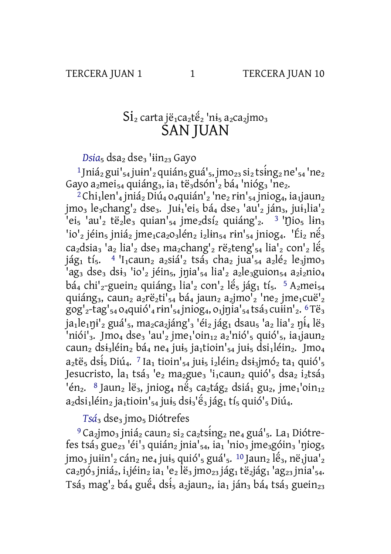## Si<sub>2</sub> carta jë<sub>1</sub>ca<sub>2</sub>të<sub>2</sub> 'ni<sub>5</sub> a<sub>2</sub>ca<sub>2</sub>jmo<sub>3</sub> **ŠAN IUAN**

 $Disia<sub>5</sub>$  dsa<sub>2</sub> dse<sub>3</sub> 'iin<sub>23</sub> Gayo

<sup>1</sup> Jniá<sub>2</sub> gui<sup>1</sup><sub>54</sub> juin<sup>1</sup><sub>2</sub> quián<sub>5</sub> guá<sup>1</sup><sub>5</sub>, jmo<sub>23</sub> si<sub>2</sub> tsing<sub>2</sub> ne<sup>1</sup><sub>54</sub> 'ne<sub>2</sub> Gayo a<sub>2</sub>mei<sub>54</sub> quiáng<sub>3</sub>, ia<sub>1</sub> të<sub>3</sub>dsón<sup>1</sup><sub>2</sub> bá<sub>4</sub> 'nióg<sub>3</sub> 'ne<sub>2</sub>.

<sup>2</sup>Chi<sub>1</sub>len'<sub>4</sub> jniá<sub>2</sub> Diú<sub>4</sub> o<sub>4</sub>quián'<sub>2</sub> 'ne<sub>2</sub> rin'<sub>54</sub> jniog<sub>4</sub>, ia<sub>1</sub> jaun<sub>2</sub>  $\mu_3$  le<sub>3</sub>chang'<sub>2</sub> dse<sub>3</sub>. Jui<sub>1</sub>'ei<sub>5</sub> bá<sub>4</sub> dse<sub>3</sub> 'au'<sub>2</sub> ján<sub>3</sub>, jui<sub>1</sub>lia'<sub>2</sub>  $\left[1e^{i\pi/2}e^{i\pi/2}e^{i\pi/2}e^{i\pi/2}e^{i\pi/2}e^{i\pi/2}e^{i\pi/2}e^{i\pi/2}e^{i\pi/2}e^{i\pi/2}e^{i\pi/2}e^{i\pi/2}e^{i\pi/2}e^{i\pi/2}e^{i\pi/2}e^{i\pi/2}e^{i\pi/2}e^{i\pi/2}e^{i\pi/2}e^{i\pi/2}e^{i\pi/2}e^{i\pi/2}e^{i\pi/2}e^{i\pi/2}e^{i\pi/2}e^{i\pi/2}e^{i\pi/2}$  $3$  'nio<sub>5</sub> lin<sub>3</sub>  $\frac{1}{2}$ io'<sub>2</sub> jéin<sub>5</sub> jniá<sub>2</sub> jme<sub>1</sub>ca<sub>2</sub>0<sub>3</sub>lén<sub>2</sub> j<sub>2</sub>lin<sub>54</sub> rin'<sub>54</sub> jniog<sub>4</sub>. 'Éi<sub>2</sub> né<sub>3</sub> ca<sub>2</sub>dsia<sub>3</sub> 'a<sub>2</sub> lia'<sub>2</sub> dse<sub>3</sub> ma<sub>2</sub>chang'<sub>2</sub> rë<sub>2</sub>teng'<sub>54</sub> lia'<sub>2</sub> con'<sub>2</sub> lé<sub>5</sub>  $i\acute{a}g_1$  tí<sub>5</sub>. <sup>4</sup> 'I<sub>1</sub>caun<sub>2</sub> a<sub>2</sub>siá'<sub>2</sub> tsá<sub>3</sub> cha<sub>2</sub> jua<sup>'</sup><sub>54</sub> a<sub>2</sub>lé<sub>2</sub> le<sub>3</sub>jmo<sub>3</sub> 'ag<sub>3</sub> dse<sub>3</sub> dsi<sub>3</sub> 'io'<sub>2</sub> jéin<sub>5</sub>, jnia'<sub>54</sub> lia'<sub>2</sub> a<sub>2</sub>le<sub>3</sub>guion<sub>54</sub> a<sub>2</sub>i<sub>2</sub>nio<sub>4</sub>  $b4_4$  chi'<sub>2</sub>-guein<sub>2</sub> quiáng<sub>3</sub> lia'<sub>2</sub> con'<sub>2</sub> lế<sub>5</sub> jág<sub>1</sub> tí<sub>5</sub>. <sup>5</sup> A<sub>2</sub>mei<sub>54</sub> quiáng<sub>3</sub>, caun<sub>2</sub> a<sub>2</sub>rë<sub>2</sub>ti'<sub>54</sub> bá<sub>4</sub> jaun<sub>2</sub> a<sub>2</sub>jmo'<sub>2</sub> 'ne<sub>2</sub> jme<sub>1</sub>cuë'<sub>2</sub>  $\text{gog}'_2$ -tag'<sub>54</sub> 0<sub>4</sub>quió'<sub>4</sub> rin'<sub>54</sub> jniog<sub>4</sub>, 0<sub>1</sub>jnia'<sub>54</sub> tsá<sub>3</sub> cuiin'<sub>2</sub>. <sup>6</sup>Të<sub>3</sub>  $a_1$ le<sub>1</sub> $\pi$ <sup>1</sup>/<sub>2</sub> guá<sup>1</sup><sub>5</sub>, ma<sub>2</sub>ca<sub>2</sub> jáng<sup>1</sup><sub>3</sub> 'éi<sub>2</sub> jág<sub>1</sub> dsau<sub>5</sub> 'a<sub>2</sub> lia<sup>1</sup><sub>2</sub>  $\pi$ <sup>1</sup>/<sub>1</sub> lë<sub>3</sub>  $\frac{1}{2}$ niói'<sub>3</sub>. Jmo<sub>4</sub> dse<sub>3</sub> 'au'<sub>2</sub> jme<sub>1</sub>'oin<sub>12</sub> a<sub>2</sub>'nió'<sub>5</sub> quió'<sub>5</sub>, ia<sub>1</sub> jaun<sub>2</sub> caun<sub>2</sub> dsi<sub>3</sub>léin<sub>2</sub> bá<sub>4</sub> ne<sub>4</sub> jui<sub>5</sub> ja<sub>1</sub>tioin'<sub>54</sub> jui<sub>5</sub> dsi<sub>1</sub>léin<sub>2</sub>. Jmo<sub>4</sub>  $a_2$ të<sub>s</sub> dsi<sup>1</sup><sub>5</sub> Diú<sub>4</sub>. <sup>7</sup> Ia<sub>1</sub> tioin'<sub>54</sub> jui<sub>5</sub> i<sub>2</sub>léin<sub>2</sub> dsi<sub>3</sub>jmó<sub>2</sub> ta<sub>1</sub> quió'<sub>5</sub> Jesucristo,  $a_1$  tsá<sub>3</sub> 'e<sub>2</sub> ma<sub>2</sub>gue<sub>3</sub> 'i<sub>1</sub> caun<sub>2</sub> quió'<sub>5</sub> dsa<sub>2</sub> i<sub>2</sub> tsá<sub>3</sub> 'én<sub>2</sub>. <sup>8</sup> Jaun<sub>2</sub> lë<sub>3</sub>, jniog<sub>4</sub> në<sub>3</sub> ca<sub>2</sub>tág<sub>2</sub> dsiá<sub>1</sub> gu<sub>2</sub>, jme<sub>1</sub>'oin<sub>12</sub>  $a_2$ dsi<sub>1</sub>léin<sub>2</sub> ja<sub>1</sub>tioin'<sub>54</sub> jui<sub>5</sub> dsi<sub>3</sub>'é<sub>3</sub> jág<sub>1</sub> tí<sub>5</sub> quió'<sub>5</sub> Diú<sub>4</sub>.

Tsá<sub>3</sub> dse<sub>3</sub> jmo<sub>5</sub> Diótrefes

<sup>9</sup> Ca<sub>2</sub>jmo<sub>3</sub> jniá<sub>2</sub> caun<sub>2</sub> si<sub>2</sub> ca<sub>2</sub>tsing<sub>2</sub> ne<sub>4</sub> guá<sup>1</sup><sub>5</sub>. La<sub>1</sub> Diótrefes tsá<sub>3</sub> gue<sub>23</sub> 'éi'<sub>3</sub> quián<sub>2</sub> jnia'<sub>54</sub>, ia<sub>1</sub> 'nio<sub>3</sub> jme<sub>3</sub>góin<sub>3</sub> 'niog<sub>5</sub>  $\text{imo}_3$  juiin'<sub>2</sub> cán<sub>2</sub> ne<sub>4</sub> jui<sub>5</sub> quió'<sub>5</sub> guá'<sub>5</sub>, <sup>10</sup> Jaun<sub>2</sub> lé<sub>3</sub>, në<sub>1</sub> jua'<sub>2</sub> ca2nó3 jniá2, i1jéin2 ja1 'e2 lë3 jmo23 jág1 të2jág1 'ag23 jnia'54. Tsá<sub>3</sub> mag<sup>1</sup><sub>2</sub> bá<sub>4</sub> guế<sub>4</sub> dsi <sub>5</sub> a<sub>2</sub> jaun<sub>2</sub>, ja<sub>1</sub> ján<sub>3</sub> bá<sub>4</sub> tsá<sub>3</sub> guein<sub>23</sub>

 $\mathbf{1}$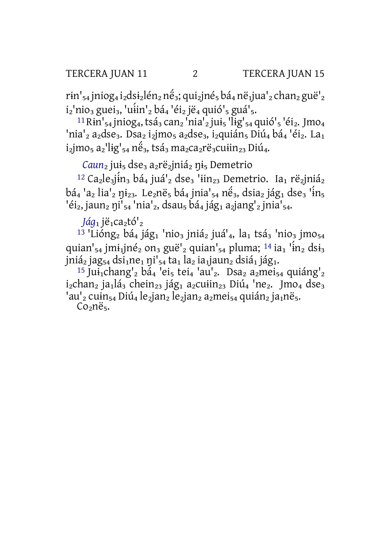$\text{rin'}_{54}$  jniog<sub>4</sub> i<sub>2</sub>dsi<sub>2</sub>lén<sub>2</sub> né<sub>3</sub>; qui<sub>2</sub>jné<sub>5</sub> bá<sub>4</sub> në<sub>1</sub>jua'<sub>2</sub> chan<sub>2</sub> guë'<sub>2</sub>  $i_2$ 'nio<sub>3</sub> guei<sub>3</sub>, 'uin'<sub>2</sub> bá<sub>4</sub> 'éi<sub>2</sub> jë<sub>4</sub> quió'<sub>5</sub> guá'<sub>5</sub>.

<sup>11</sup> Rin'<sub>54</sub> iniog<sub>4</sub>, tsá<sub>3</sub> can<sub>2</sub> 'nia'<sub>2</sub> jui<sub>5</sub> 'lig'<sub>54</sub> quió'<sub>5</sub> 'éi<sub>2</sub>. Jmo<sub>4</sub> 'nia'<sub>2</sub> a<sub>2</sub>dse<sub>3</sub>. Dsa<sub>2</sub> i<sub>2</sub>jmo<sub>5</sub> a<sub>2</sub>dse<sub>3</sub>, i<sub>2</sub>quián<sub>5</sub> Diú<sub>4</sub> bá<sub>4</sub> 'éi<sub>2</sub>. La<sub>1</sub>  $i_2$ jmo<sub>5</sub> a<sub>2</sub>'lig'<sub>54</sub> né<sub>3</sub>, tsá<sub>3</sub> ma<sub>2</sub>ca<sub>2</sub>rë<sub>3</sub>cuiin<sub>23</sub> Diú<sub>4</sub>.

Caun<sub>2</sub> jui<sub>5</sub> dse<sub>3</sub> a<sub>2</sub>rë<sub>2</sub>jniá<sub>2</sub> ni<sub>5</sub> Demetrio

<sup>12</sup> Ca<sub>2</sub>le<sub>3</sub>jin<sub>3</sub> bá<sub>4</sub> juá<sup>1</sup><sub>2</sub> dse<sub>3</sub> 'iin<sub>23</sub> Demetrio. Ia<sub>1</sub> rë<sub>2</sub>jnjá<sub>2</sub>  $b\acute{a}_4$  'a<sub>2</sub> lia'<sub>2</sub> ni<sub>23</sub>. Le<sub>2</sub>në<sub>5</sub> bá<sub>4</sub> jnia'<sub>54</sub> në<sub>3</sub>, dsia<sub>2</sub> jág<sub>1</sub> dse<sub>3</sub> 'in<sub>5</sub> 'éi<sub>2</sub>, jaun<sub>2</sub> ni'<sub>54</sub> 'nia'<sub>2</sub>, dsau<sub>5</sub> bá<sub>4</sub> jág<sub>1</sub> a<sub>2</sub> jang'<sub>2</sub> jnia'<sub>54</sub>.

Jáq<sub>1</sub> jë<sub>1</sub>ca<sub>2</sub>tó'<sub>2</sub>

<sup>13</sup> 'Lióng<sub>2</sub> bá<sub>4</sub> jág<sub>1</sub> 'nio<sub>3</sub> jniá<sub>2</sub> juá'<sub>4</sub>, la<sub>1</sub> tsá<sub>3</sub> 'nio<sub>3</sub> jmo<sub>54</sub> quian'<sub>54</sub> jmi<sub>1</sub>jné<sub>2</sub> on<sub>3</sub> guë'<sub>2</sub> quian'<sub>54</sub> pluma; <sup>14</sup> ia<sub>1</sub> 'in<sub>2</sub> dsi<sub>3</sub>  $\text{ini\'a}_2$  jag<sub>54</sub> dsi<sub>1</sub>ne<sub>1</sub> ni'<sub>54</sub> ta<sub>1</sub> la<sub>2</sub> ia<sub>1</sub> jaun<sub>2</sub> dsiá<sub>1</sub> jág<sub>1</sub>.

<sup>15</sup> Jui<sub>1</sub>chang'<sub>2</sub> bá<sub>4</sub> 'ei<sub>5</sub> tei<sub>4</sub> 'au'<sub>2</sub>. Dsa<sub>2</sub> a<sub>2</sub>mei<sub>54</sub> quiáng'<sub>2</sub>  $i_2$ chan<sub>2</sub> ja<sub>1</sub>lá<sub>3</sub> chein<sub>23</sub> jág<sub>1</sub> a<sub>2</sub>cuiin<sub>23</sub> Diú<sub>4</sub> 'ne<sub>2</sub>. Jmo<sub>4</sub> dse<sub>3</sub> 'au'<sub>2</sub> cuin<sub>54</sub> Diú<sub>4</sub> le<sub>2</sub>jan<sub>2</sub> le<sub>2</sub>jan<sub>2</sub> a<sub>2</sub>mei<sub>54</sub> quián<sub>2</sub> ja<sub>1</sub> në<sub>5</sub>.

Co<sub>2</sub>në<sub>5</sub>.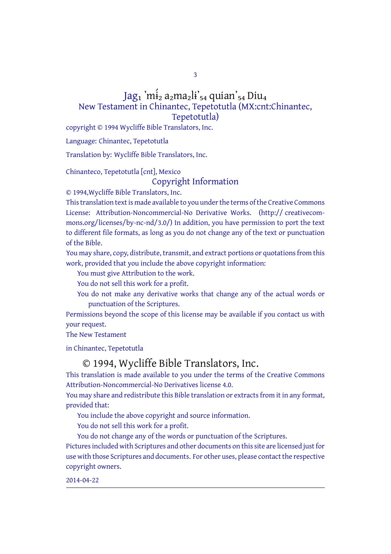3

## Jag1 'mi̇́<sub>2</sub> a<sub>2</sub>ma<sub>2</sub>li'<sub>54</sub> quian'<sub>54</sub> Diu<sub>4</sub> New Testament in Chinantec, Tepetotutla (MX:cnt:Chinantec, Tepetotutla)

copyright © 1994 Wycliffe Bible Translators, Inc.

Language: Chinantec, Tepetotutla

Translation by: Wycliffe Bible Translators, Inc.

Chinanteco, Tepetotutla [cnt], Mexico

Copyright Information

© 1994,Wycliffe Bible Translators, Inc.

This translation text is made available to you under the terms of the Creative Commons License: Attribution-Noncommercial-No Derivative Works. (http:// creativecommons.org/licenses/by-nc-nd/3.0/) In addition, you have permission to port the text to different file formats, as long as you do not change any of the text or punctuation of the Bible.

You may share, copy, distribute, transmit, and extract portions or quotations from this work, provided that you include the above copyright information:

You must give Attribution to the work.

You do not sell this work for a profit.

You do not make any derivative works that change any of the actual words or punctuation of the Scriptures.

Permissions beyond the scope of this license may be available if you contact us with your request.

The New Testament

in Chinantec, Tepetotutla

## © 1994, Wycliffe Bible Translators, Inc.

This translation is made available to you under the terms of the Creative Commons Attribution-Noncommercial-No Derivatives license 4.0.

You may share and redistribute this Bible translation or extracts from it in any format, provided that:

You include the above copyright and source information.

You do not sell this work for a profit.

You do not change any of the words or punctuation of the Scriptures.

Pictures included with Scriptures and other documents on this site are licensed just for use with those Scriptures and documents. For other uses, please contact the respective copyright owners.

2014-04-22